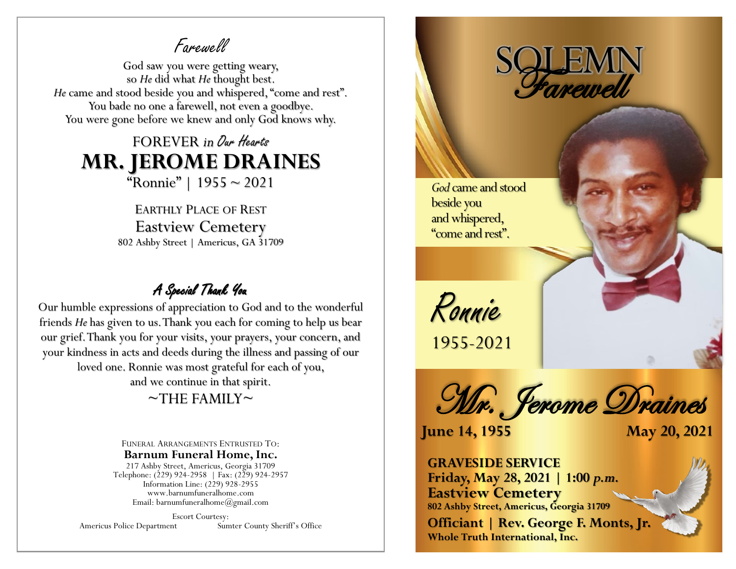Farewell

God saw you were getting weary, so *He* did what *He* thought best. *He* came and stood beside you and whispered, "come and rest". You bade no one a farewell, not even a goodbye. You were gone before we knew and only God knows why.

## FOREVER *in* Our Hearts **MR. JEROME DRAINES** "Ronnie" | 1955 ~ 2021

EARTHLY PLACE OF REST Eastview Cemetery 802 Ashby Street | Americus, GA 31709

## A Special Thank You

Our humble expressions of appreciation to God and to the wonderful friends *He* has given to us. Thank you each for coming to help us bear our grief. Thank you for your visits, your prayers, your concern, and your kindness in acts and deeds during the illness and passing of our loved one. Ronnie was most grateful for each of you, and we continue in that spirit.

## $\sim$ THE FAMILY $\sim$

FUNERAL ARRANGEMENTS ENTRUSTED TO: **Barnum Funeral Home, Inc.** 217 Ashby Street, Americus, Georgia 31709 Telephone: (229) 924-2958 | Fax: (229) 924-2957 Information Line: (229) 928-2955

www.barnumfuneralhome.com Email: barnumfuneralhome@gmail.com

Escort Courtesy: Americus Police Department Sumter County Sheriff's Office



Mr. Jerome Draines

**June 14, 1955 May 20, 2021**

**GRAVESIDE SERVICE Friday, May 28, 2021 | 1:00** *p.m.* **Eastview Cemetery 802 Ashby Street, Americus, Georgia 31709**

**Officiant | Rev. George F. Monts, Jr. Whole Truth International, Inc.**